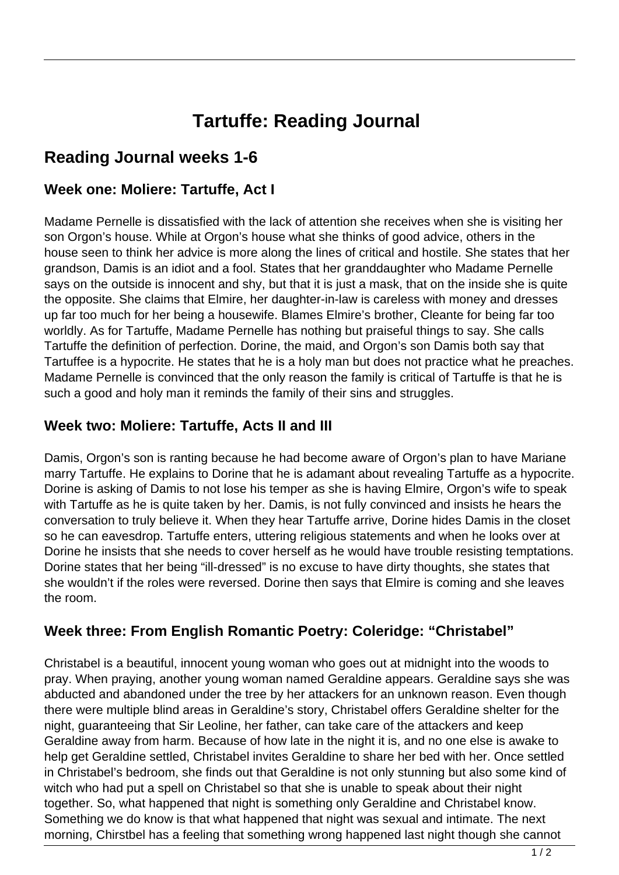# **Tartuffe: Reading Journal**

# **Reading Journal weeks 1-6**

#### **Week one: Moliere: Tartuffe, Act I**

Madame Pernelle is dissatisfied with the lack of attention she receives when she is visiting her son Orgon's house. While at Orgon's house what she thinks of good advice, others in the house seen to think her advice is more along the lines of critical and hostile. She states that her grandson, Damis is an idiot and a fool. States that her granddaughter who Madame Pernelle says on the outside is innocent and shy, but that it is just a mask, that on the inside she is quite the opposite. She claims that Elmire, her daughter-in-law is careless with money and dresses up far too much for her being a housewife. Blames Elmire's brother, Cleante for being far too worldly. As for Tartuffe, Madame Pernelle has nothing but praiseful things to say. She calls Tartuffe the definition of perfection. Dorine, the maid, and Orgon's son Damis both say that Tartuffee is a hypocrite. He states that he is a holy man but does not practice what he preaches. Madame Pernelle is convinced that the only reason the family is critical of Tartuffe is that he is such a good and holy man it reminds the family of their sins and struggles.

#### **Week two: Moliere: Tartuffe, Acts II and III**

Damis, Orgon's son is ranting because he had become aware of Orgon's plan to have Mariane marry Tartuffe. He explains to Dorine that he is adamant about revealing Tartuffe as a hypocrite. Dorine is asking of Damis to not lose his temper as she is having Elmire, Orgon's wife to speak with Tartuffe as he is quite taken by her. Damis, is not fully convinced and insists he hears the conversation to truly believe it. When they hear Tartuffe arrive, Dorine hides Damis in the closet so he can eavesdrop. Tartuffe enters, uttering religious statements and when he looks over at Dorine he insists that she needs to cover herself as he would have trouble resisting temptations. Dorine states that her being "ill-dressed" is no excuse to have dirty thoughts, she states that she wouldn't if the roles were reversed. Dorine then says that Elmire is coming and she leaves the room.

#### **Week three: From English Romantic Poetry: Coleridge: "Christabel"**

Christabel is a beautiful, innocent young woman who goes out at midnight into the woods to pray. When praying, another young woman named Geraldine appears. Geraldine says she was abducted and abandoned under the tree by her attackers for an unknown reason. Even though there were multiple blind areas in Geraldine's story, Christabel offers Geraldine shelter for the night, guaranteeing that Sir Leoline, her father, can take care of the attackers and keep Geraldine away from harm. Because of how late in the night it is, and no one else is awake to help get Geraldine settled, Christabel invites Geraldine to share her bed with her. Once settled in Christabel's bedroom, she finds out that Geraldine is not only stunning but also some kind of witch who had put a spell on Christabel so that she is unable to speak about their night together. So, what happened that night is something only Geraldine and Christabel know. Something we do know is that what happened that night was sexual and intimate. The next morning, Chirstbel has a feeling that something wrong happened last night though she cannot